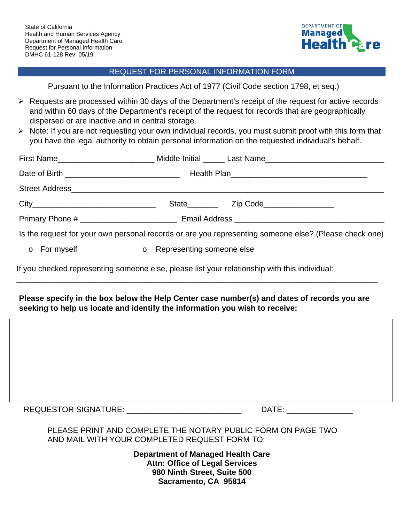

## REQUEST FOR PERSONAL INFORMATION FORM

Pursuant to the Information Practices Act of 1977 (Civil Code section 1798, et seq.)

- $\triangleright$  Requests are processed within 30 days of the Department's receipt of the request for active records and within 60 days of the Department's receipt of the request for records that are geographically dispersed or are inactive and in central storage.
- $\triangleright$  Note: If you are not requesting your own individual records, you must submit proof with this form that you have the legal authority to obtain personal information on the requested individual's behalf.

|                                                                                                       |              |  |                             | First Name_____________________________Middle Initial _______ Last Name_____________________________ |  |
|-------------------------------------------------------------------------------------------------------|--------------|--|-----------------------------|------------------------------------------------------------------------------------------------------|--|
|                                                                                                       |              |  |                             |                                                                                                      |  |
|                                                                                                       |              |  |                             |                                                                                                      |  |
|                                                                                                       |              |  |                             |                                                                                                      |  |
|                                                                                                       |              |  |                             |                                                                                                      |  |
| Is the request for your own personal records or are you representing someone else? (Please check one) |              |  |                             |                                                                                                      |  |
|                                                                                                       | o For myself |  | o Representing someone else |                                                                                                      |  |

If you checked representing someone else, please list your relationship with this individual:

## **Please specify in the box below the Help Center case number(s) and dates of records you are seeking to help us locate and identify the information you wish to receive:**

\_\_\_\_\_\_\_\_\_\_\_\_\_\_\_\_\_\_\_\_\_\_\_\_\_\_\_\_\_\_\_\_\_\_\_\_\_\_\_\_\_\_\_\_\_\_\_\_\_\_\_\_\_\_\_\_\_\_\_\_\_\_\_\_\_\_\_\_\_\_\_\_\_\_\_\_\_\_\_\_\_\_

REQUESTOR SIGNATURE: \_\_\_\_\_\_\_\_\_\_\_\_\_\_\_\_\_\_\_\_\_\_\_\_\_\_ DATE: \_\_\_\_\_\_\_\_\_\_\_\_\_\_\_

## PLEASE PRINT AND COMPLETE THE NOTARY PUBLIC FORM ON PAGE TWO AND MAIL WITH YOUR COMPLETED REQUEST FORM TO:

**Department of Managed Health Care Attn: Office of Legal Services 980 Ninth Street, Suite 500 Sacramento, CA 95814**